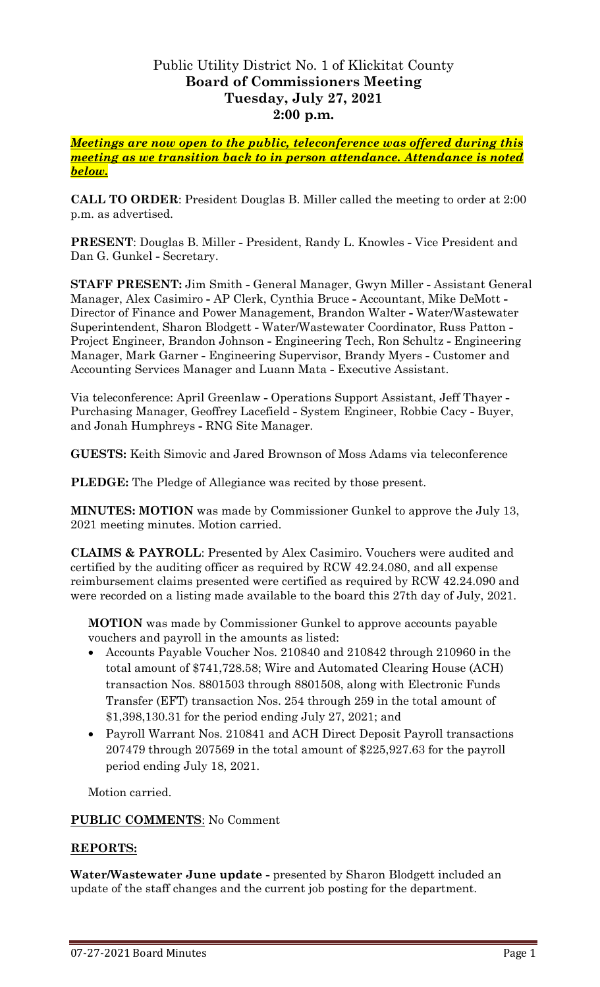# Public Utility District No. 1 of Klickitat County **Board of Commissioners Meeting Tuesday, July 27, 2021 2:00 p.m.**

*Meetings are now open to the public, teleconference was offered during this meeting as we transition back to in person attendance. Attendance is noted below.*

**CALL TO ORDER**: President Douglas B. Miller called the meeting to order at 2:00 p.m. as advertised.

**PRESENT**: Douglas B. Miller **-** President, Randy L. Knowles **-** Vice President and Dan G. Gunkel **-** Secretary.

**STAFF PRESENT:** Jim Smith **-** General Manager, Gwyn Miller **-** Assistant General Manager, Alex Casimiro **-** AP Clerk, Cynthia Bruce **-** Accountant, Mike DeMott **-** Director of Finance and Power Management, Brandon Walter **-** Water/Wastewater Superintendent, Sharon Blodgett **-** Water/Wastewater Coordinator, Russ Patton **-** Project Engineer, Brandon Johnson **-** Engineering Tech, Ron Schultz **-** Engineering Manager, Mark Garner **-** Engineering Supervisor, Brandy Myers **-** Customer and Accounting Services Manager and Luann Mata **-** Executive Assistant.

Via teleconference: April Greenlaw **-** Operations Support Assistant, Jeff Thayer **-** Purchasing Manager, Geoffrey Lacefield **-** System Engineer, Robbie Cacy **-** Buyer, and Jonah Humphreys **-** RNG Site Manager.

**GUESTS:** Keith Simovic and Jared Brownson of Moss Adams via teleconference

**PLEDGE:** The Pledge of Allegiance was recited by those present.

**MINUTES: MOTION** was made by Commissioner Gunkel to approve the July 13, 2021 meeting minutes. Motion carried.

**CLAIMS & PAYROLL**: Presented by Alex Casimiro. Vouchers were audited and certified by the auditing officer as required by RCW 42.24.080, and all expense reimbursement claims presented were certified as required by RCW 42.24.090 and were recorded on a listing made available to the board this 27th day of July, 2021.

**MOTION** was made by Commissioner Gunkel to approve accounts payable vouchers and payroll in the amounts as listed:

- Accounts Payable Voucher Nos. 210840 and 210842 through 210960 in the total amount of \$741,728.58; Wire and Automated Clearing House (ACH) transaction Nos. 8801503 through 8801508, along with Electronic Funds Transfer (EFT) transaction Nos. 254 through 259 in the total amount of \$1,398,130.31 for the period ending July 27, 2021; and
- Payroll Warrant Nos. 210841 and ACH Direct Deposit Payroll transactions 207479 through 207569 in the total amount of \$225,927.63 for the payroll period ending July 18, 2021.

Motion carried.

#### **PUBLIC COMMENTS**: No Comment

#### **REPORTS:**

**Water/Wastewater June update -** presented by Sharon Blodgett included an update of the staff changes and the current job posting for the department.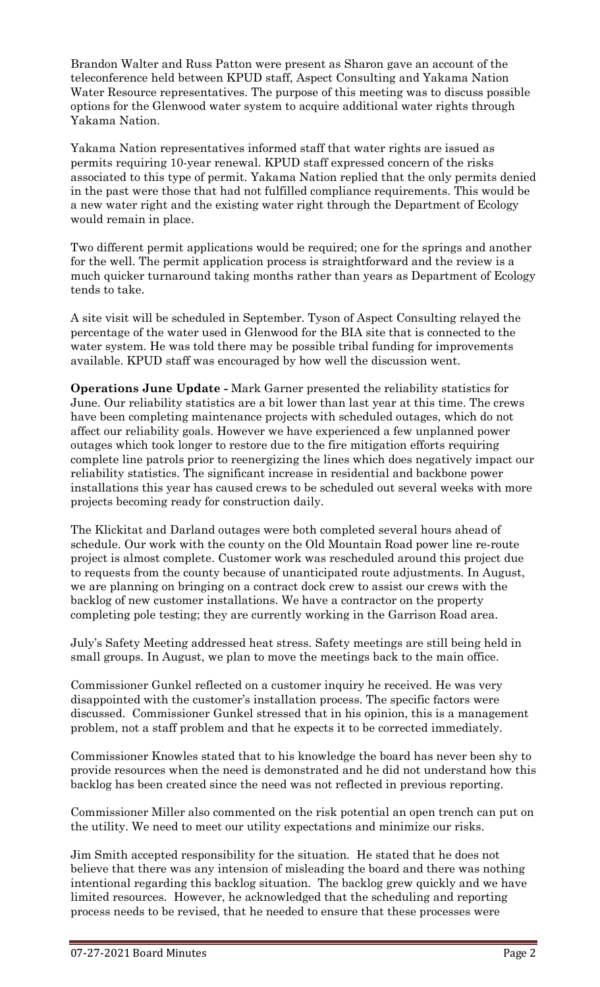Brandon Walter and Russ Patton were present as Sharon gave an account of the teleconference held between KPUD staff, Aspect Consulting and Yakama Nation Water Resource representatives. The purpose of this meeting was to discuss possible options for the Glenwood water system to acquire additional water rights through Yakama Nation.

Yakama Nation representatives informed staff that water rights are issued as permits requiring 10-year renewal. KPUD staff expressed concern of the risks associated to this type of permit. Yakama Nation replied that the only permits denied in the past were those that had not fulfilled compliance requirements. This would be a new water right and the existing water right through the Department of Ecology would remain in place.

Two different permit applications would be required; one for the springs and another for the well. The permit application process is straightforward and the review is a much quicker turnaround taking months rather than years as Department of Ecology tends to take.

A site visit will be scheduled in September. Tyson of Aspect Consulting relayed the percentage of the water used in Glenwood for the BIA site that is connected to the water system. He was told there may be possible tribal funding for improvements available. KPUD staff was encouraged by how well the discussion went.

**Operations June Update -** Mark Garner presented the reliability statistics for June. Our reliability statistics are a bit lower than last year at this time. The crews have been completing maintenance projects with scheduled outages, which do not affect our reliability goals. However we have experienced a few unplanned power outages which took longer to restore due to the fire mitigation efforts requiring complete line patrols prior to reenergizing the lines which does negatively impact our reliability statistics. The significant increase in residential and backbone power installations this year has caused crews to be scheduled out several weeks with more projects becoming ready for construction daily.

The Klickitat and Darland outages were both completed several hours ahead of schedule. Our work with the county on the Old Mountain Road power line re-route project is almost complete. Customer work was rescheduled around this project due to requests from the county because of unanticipated route adjustments. In August, we are planning on bringing on a contract dock crew to assist our crews with the backlog of new customer installations. We have a contractor on the property completing pole testing; they are currently working in the Garrison Road area.

July's Safety Meeting addressed heat stress. Safety meetings are still being held in small groups. In August, we plan to move the meetings back to the main office.

Commissioner Gunkel reflected on a customer inquiry he received. He was very disappointed with the customer's installation process. The specific factors were discussed. Commissioner Gunkel stressed that in his opinion, this is a management problem, not a staff problem and that he expects it to be corrected immediately.

Commissioner Knowles stated that to his knowledge the board has never been shy to provide resources when the need is demonstrated and he did not understand how this backlog has been created since the need was not reflected in previous reporting.

Commissioner Miller also commented on the risk potential an open trench can put on the utility. We need to meet our utility expectations and minimize our risks.

Jim Smith accepted responsibility for the situation. He stated that he does not believe that there was any intension of misleading the board and there was nothing intentional regarding this backlog situation. The backlog grew quickly and we have limited resources. However, he acknowledged that the scheduling and reporting process needs to be revised, that he needed to ensure that these processes were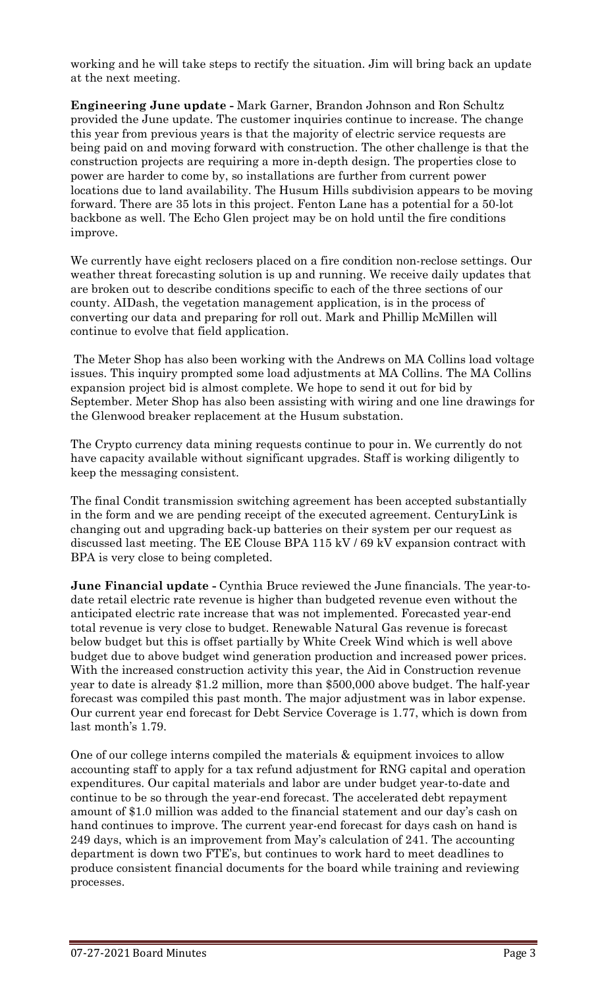working and he will take steps to rectify the situation. Jim will bring back an update at the next meeting.

**Engineering June update -** Mark Garner, Brandon Johnson and Ron Schultz provided the June update. The customer inquiries continue to increase. The change this year from previous years is that the majority of electric service requests are being paid on and moving forward with construction. The other challenge is that the construction projects are requiring a more in-depth design. The properties close to power are harder to come by, so installations are further from current power locations due to land availability. The Husum Hills subdivision appears to be moving forward. There are 35 lots in this project. Fenton Lane has a potential for a 50-lot backbone as well. The Echo Glen project may be on hold until the fire conditions improve.

We currently have eight reclosers placed on a fire condition non-reclose settings. Our weather threat forecasting solution is up and running. We receive daily updates that are broken out to describe conditions specific to each of the three sections of our county. AIDash, the vegetation management application, is in the process of converting our data and preparing for roll out. Mark and Phillip McMillen will continue to evolve that field application.

The Meter Shop has also been working with the Andrews on MA Collins load voltage issues. This inquiry prompted some load adjustments at MA Collins. The MA Collins expansion project bid is almost complete. We hope to send it out for bid by September. Meter Shop has also been assisting with wiring and one line drawings for the Glenwood breaker replacement at the Husum substation.

The Crypto currency data mining requests continue to pour in. We currently do not have capacity available without significant upgrades. Staff is working diligently to keep the messaging consistent.

The final Condit transmission switching agreement has been accepted substantially in the form and we are pending receipt of the executed agreement. CenturyLink is changing out and upgrading back-up batteries on their system per our request as discussed last meeting. The EE Clouse BPA 115 kV / 69 kV expansion contract with BPA is very close to being completed.

**June Financial update -** Cynthia Bruce reviewed the June financials. The year-todate retail electric rate revenue is higher than budgeted revenue even without the anticipated electric rate increase that was not implemented. Forecasted year-end total revenue is very close to budget. Renewable Natural Gas revenue is forecast below budget but this is offset partially by White Creek Wind which is well above budget due to above budget wind generation production and increased power prices. With the increased construction activity this year, the Aid in Construction revenue year to date is already \$1.2 million, more than \$500,000 above budget. The half-year forecast was compiled this past month. The major adjustment was in labor expense. Our current year end forecast for Debt Service Coverage is 1.77, which is down from last month's 1.79.

One of our college interns compiled the materials & equipment invoices to allow accounting staff to apply for a tax refund adjustment for RNG capital and operation expenditures. Our capital materials and labor are under budget year-to-date and continue to be so through the year-end forecast. The accelerated debt repayment amount of \$1.0 million was added to the financial statement and our day's cash on hand continues to improve. The current year-end forecast for days cash on hand is 249 days, which is an improvement from May's calculation of 241. The accounting department is down two FTE's, but continues to work hard to meet deadlines to produce consistent financial documents for the board while training and reviewing processes.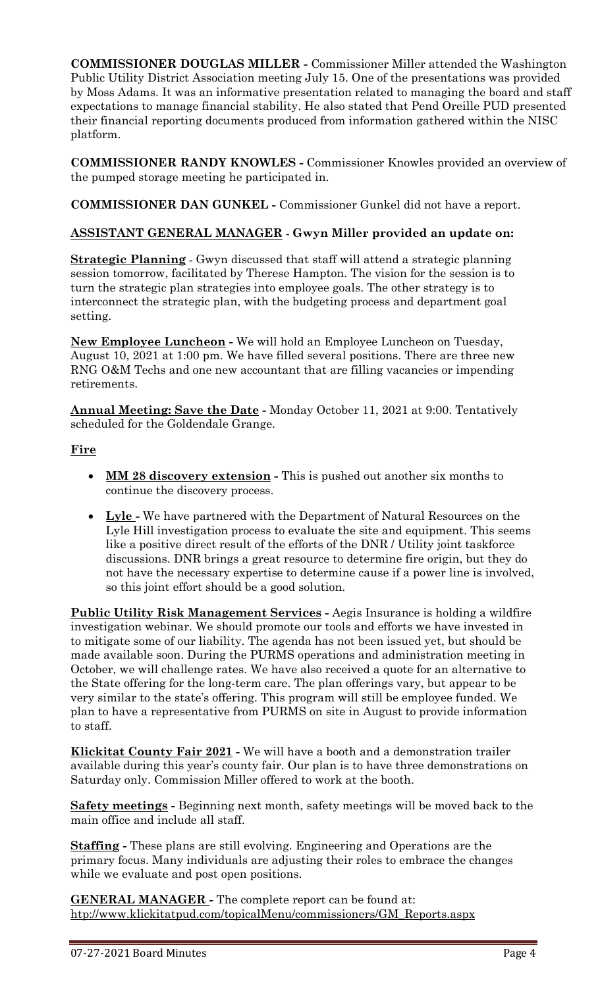**COMMISSIONER DOUGLAS MILLER -** Commissioner Miller attended the Washington Public Utility District Association meeting July 15. One of the presentations was provided by Moss Adams. It was an informative presentation related to managing the board and staff expectations to manage financial stability. He also stated that Pend Oreille PUD presented their financial reporting documents produced from information gathered within the NISC platform.

**COMMISSIONER RANDY KNOWLES -** Commissioner Knowles provided an overview of the pumped storage meeting he participated in.

**COMMISSIONER DAN GUNKEL -** Commissioner Gunkel did not have a report.

## **ASSISTANT GENERAL MANAGER - Gwyn Miller provided an update on:**

**Strategic Planning** - Gwyn discussed that staff will attend a strategic planning session tomorrow, facilitated by Therese Hampton. The vision for the session is to turn the strategic plan strategies into employee goals. The other strategy is to interconnect the strategic plan, with the budgeting process and department goal setting.

**New Employee Luncheon -** We will hold an Employee Luncheon on Tuesday, August 10, 2021 at 1:00 pm. We have filled several positions. There are three new RNG O&M Techs and one new accountant that are filling vacancies or impending retirements.

**Annual Meeting: Save the Date -** Monday October 11, 2021 at 9:00. Tentatively scheduled for the Goldendale Grange.

## **Fire**

- **MM 28 discovery extension -** This is pushed out another six months to continue the discovery process.
- **Lyle -** We have partnered with the Department of Natural Resources on the Lyle Hill investigation process to evaluate the site and equipment. This seems like a positive direct result of the efforts of the DNR / Utility joint taskforce discussions. DNR brings a great resource to determine fire origin, but they do not have the necessary expertise to determine cause if a power line is involved, so this joint effort should be a good solution.

**Public Utility Risk Management Services -** Aegis Insurance is holding a wildfire investigation webinar. We should promote our tools and efforts we have invested in to mitigate some of our liability. The agenda has not been issued yet, but should be made available soon. During the PURMS operations and administration meeting in October, we will challenge rates. We have also received a quote for an alternative to the State offering for the long-term care. The plan offerings vary, but appear to be very similar to the state's offering. This program will still be employee funded. We plan to have a representative from PURMS on site in August to provide information to staff.

**Klickitat County Fair 2021 -** We will have a booth and a demonstration trailer available during this year's county fair. Our plan is to have three demonstrations on Saturday only. Commission Miller offered to work at the booth.

**Safety meetings -** Beginning next month, safety meetings will be moved back to the main office and include all staff.

**Staffing -** These plans are still evolving. Engineering and Operations are the primary focus. Many individuals are adjusting their roles to embrace the changes while we evaluate and post open positions.

**GENERAL MANAGER -** The complete report can be found at: [htp://www.klickitatpud.com/topicalMenu/commissioners/GM\\_Reports.aspx](http://www.klickitatpud.com/topicalMenu/commissioners/GM_Reports.aspx)